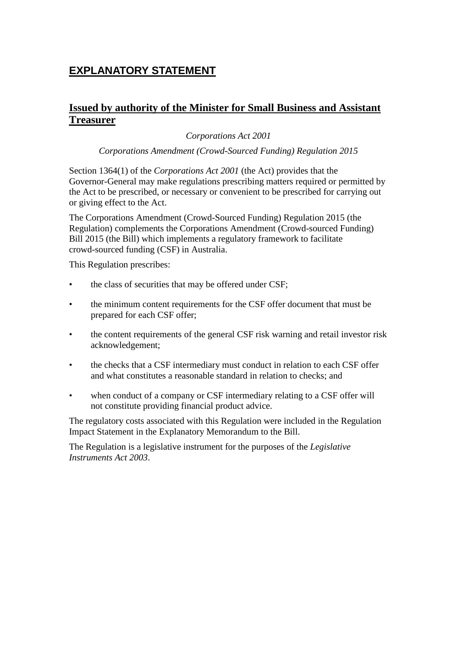# **EXPLANATORY STATEMENT**

## **Issued by authority of the Minister for Small Business and Assistant Treasurer**

## *Corporations Act 2001*

#### *Corporations Amendment (Crowd-Sourced Funding) Regulation 2015*

Section 1364(1) of the *Corporations Act 2001* (the Act) provides that the Governor-General may make regulations prescribing matters required or permitted by the Act to be prescribed, or necessary or convenient to be prescribed for carrying out or giving effect to the Act.

The Corporations Amendment (Crowd-Sourced Funding) Regulation 2015 (the Regulation) complements the Corporations Amendment (Crowd-sourced Funding) Bill 2015 (the Bill) which implements a regulatory framework to facilitate crowd-sourced funding (CSF) in Australia.

This Regulation prescribes:

- the class of securities that may be offered under CSF;
- the minimum content requirements for the CSF offer document that must be prepared for each CSF offer;
- the content requirements of the general CSF risk warning and retail investor risk acknowledgement;
- the checks that a CSF intermediary must conduct in relation to each CSF offer and what constitutes a reasonable standard in relation to checks; and
- when conduct of a company or CSF intermediary relating to a CSF offer will not constitute providing financial product advice.

The regulatory costs associated with this Regulation were included in the Regulation Impact Statement in the Explanatory Memorandum to the Bill.

The Regulation is a legislative instrument for the purposes of the *Legislative Instruments Act 2003*.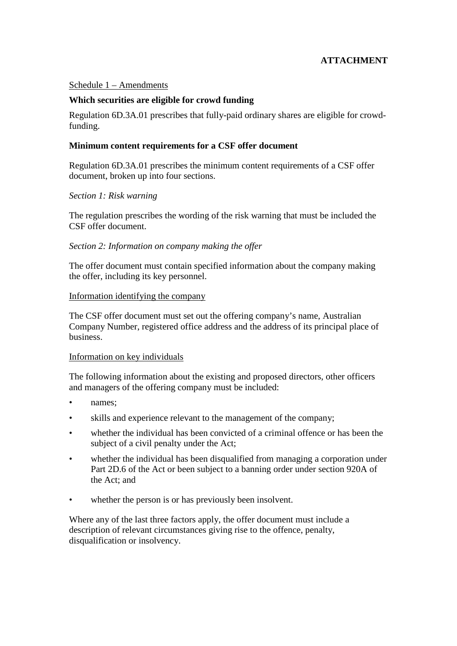## **ATTACHMENT**

#### Schedule 1 – Amendments

#### **Which securities are eligible for crowd funding**

Regulation 6D.3A.01 prescribes that fully-paid ordinary shares are eligible for crowdfunding.

#### **Minimum content requirements for a CSF offer document**

Regulation 6D.3A.01 prescribes the minimum content requirements of a CSF offer document, broken up into four sections.

#### *Section 1: Risk warning*

The regulation prescribes the wording of the risk warning that must be included the CSF offer document.

#### *Section 2: Information on company making the offer*

The offer document must contain specified information about the company making the offer, including its key personnel.

#### Information identifying the company

The CSF offer document must set out the offering company's name, Australian Company Number, registered office address and the address of its principal place of business.

#### Information on key individuals

The following information about the existing and proposed directors, other officers and managers of the offering company must be included:

- names:
- skills and experience relevant to the management of the company;
- whether the individual has been convicted of a criminal offence or has been the subject of a civil penalty under the Act;
- whether the individual has been disqualified from managing a corporation under Part 2D.6 of the Act or been subject to a banning order under section 920A of the Act; and
- whether the person is or has previously been insolvent.

Where any of the last three factors apply, the offer document must include a description of relevant circumstances giving rise to the offence, penalty, disqualification or insolvency.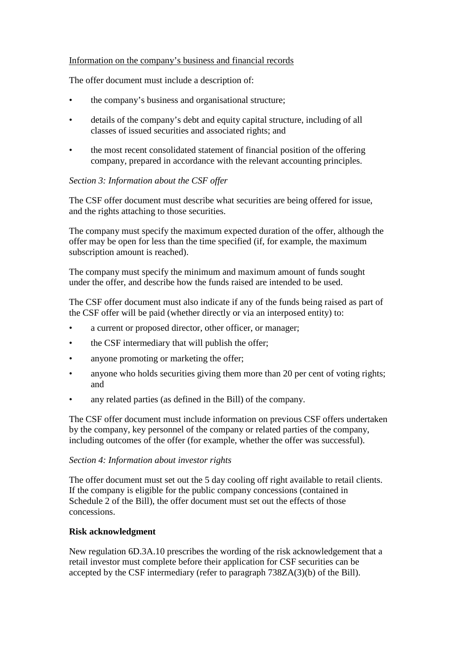#### Information on the company's business and financial records

The offer document must include a description of:

- the company's business and organisational structure;
- details of the company's debt and equity capital structure, including of all classes of issued securities and associated rights; and
- the most recent consolidated statement of financial position of the offering company, prepared in accordance with the relevant accounting principles.

#### *Section 3: Information about the CSF offer*

The CSF offer document must describe what securities are being offered for issue, and the rights attaching to those securities.

The company must specify the maximum expected duration of the offer, although the offer may be open for less than the time specified (if, for example, the maximum subscription amount is reached).

The company must specify the minimum and maximum amount of funds sought under the offer, and describe how the funds raised are intended to be used.

The CSF offer document must also indicate if any of the funds being raised as part of the CSF offer will be paid (whether directly or via an interposed entity) to:

- a current or proposed director, other officer, or manager;
- the CSF intermediary that will publish the offer;
- anyone promoting or marketing the offer;
- anyone who holds securities giving them more than 20 per cent of voting rights; and
- any related parties (as defined in the Bill) of the company.

The CSF offer document must include information on previous CSF offers undertaken by the company, key personnel of the company or related parties of the company, including outcomes of the offer (for example, whether the offer was successful).

#### *Section 4: Information about investor rights*

The offer document must set out the 5 day cooling off right available to retail clients. If the company is eligible for the public company concessions (contained in Schedule 2 of the Bill), the offer document must set out the effects of those concessions.

#### **Risk acknowledgment**

New regulation 6D.3A.10 prescribes the wording of the risk acknowledgement that a retail investor must complete before their application for CSF securities can be accepted by the CSF intermediary (refer to paragraph 738ZA(3)(b) of the Bill).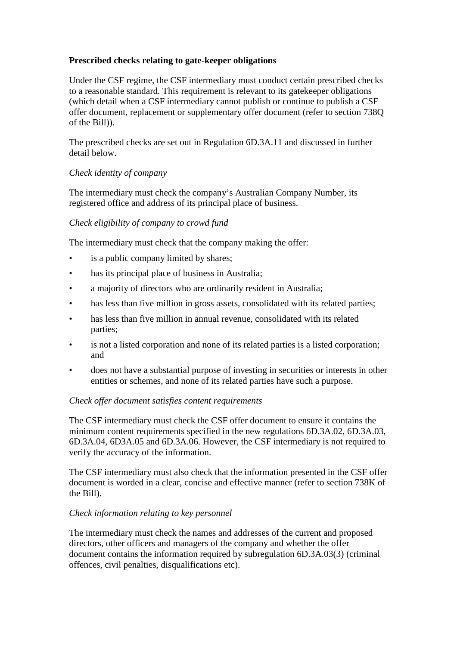### **Prescribed checks relating to gate-keeper obligations**

Under the CSF regime, the CSF intermediary must conduct certain prescribed checks to a reasonable standard. This requirement is relevant to its gatekeeper obligations (which detail when a CSF intermediary cannot publish or continue to publish a CSF offer document, replacement or supplementary offer document (refer to section 738Q of the Bill)).

The prescribed checks are set out in Regulation 6D.3A.11 and discussed in further detail below.

### *Check identity of company*

The intermediary must check the company's Australian Company Number, its registered office and address of its principal place of business.

## *Check eligibility of company to crowd fund*

The intermediary must check that the company making the offer:

- is a public company limited by shares;
- has its principal place of business in Australia;
- a majority of directors who are ordinarily resident in Australia;
- has less than five million in gross assets, consolidated with its related parties;
- has less than five million in annual revenue, consolidated with its related parties;
- is not a listed corporation and none of its related parties is a listed corporation; and
- does not have a substantial purpose of investing in securities or interests in other entities or schemes, and none of its related parties have such a purpose.

### *Check offer document satisfies content requirements*

The CSF intermediary must check the CSF offer document to ensure it contains the minimum content requirements specified in the new regulations 6D.3A.02, 6D.3A.03, 6D.3A.04, 6D3A.05 and 6D.3A.06. However, the CSF intermediary is not required to verify the accuracy of the information.

The CSF intermediary must also check that the information presented in the CSF offer document is worded in a clear, concise and effective manner (refer to section 738K of the Bill).

### *Check information relating to key personnel*

The intermediary must check the names and addresses of the current and proposed directors, other officers and managers of the company and whether the offer document contains the information required by subregulation 6D.3A.03(3) (criminal offences, civil penalties, disqualifications etc).